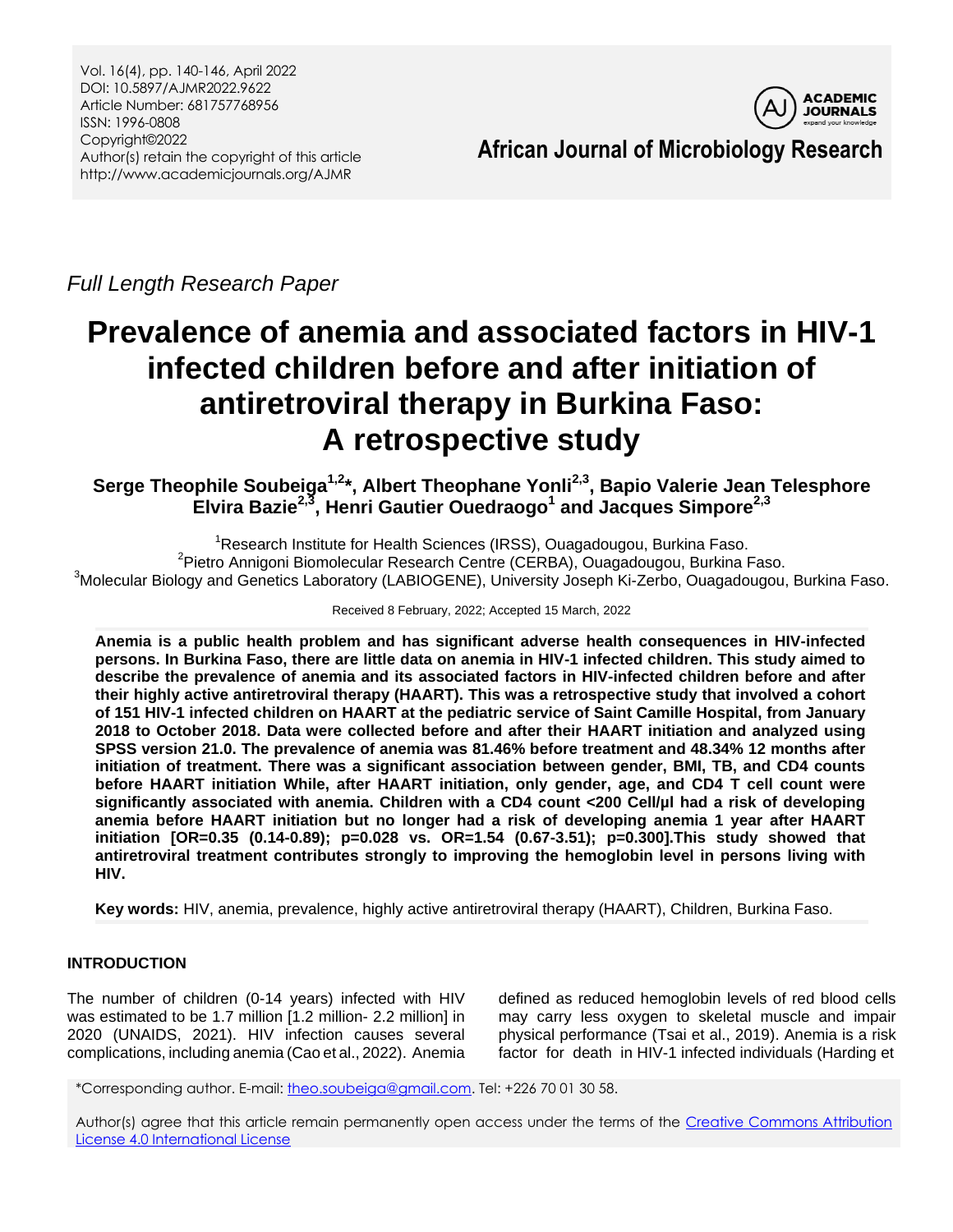

*Full Length Research Paper*

# **Prevalence of anemia and associated factors in HIV-1 infected children before and after initiation of antiretroviral therapy in Burkina Faso: A retrospective study**

**Serge Theophile Soubeiga1,2\*, Albert Theophane Yonli2,3 , Bapio Valerie Jean Telesphore Elvira Bazie2,3 , Henri Gautier Ouedraogo<sup>1</sup> and Jacques Simpore2,3**

<sup>1</sup>Research Institute for Health Sciences (IRSS), Ouagadougou, Burkina Faso. <sup>2</sup>Pietro Annigoni Biomolecular Research Centre (CERBA), Ouagadougou, Burkina Faso. <sup>3</sup>Molecular Biology and Genetics Laboratory (LABIOGENE), University Joseph Ki-Zerbo, Ouagadougou, Burkina Faso.

Received 8 February, 2022; Accepted 15 March, 2022

**Anemia is a public health problem and has significant adverse health consequences in HIV-infected persons. In Burkina Faso, there are little data on anemia in HIV-1 infected children. This study aimed to describe the prevalence of anemia and its associated factors in HIV-infected children before and after their highly active antiretroviral therapy (HAART). This was a retrospective study that involved a cohort of 151 HIV-1 infected children on HAART at the pediatric service of Saint Camille Hospital, from January 2018 to October 2018. Data were collected before and after their HAART initiation and analyzed using SPSS version 21.0. The prevalence of anemia was 81.46% before treatment and 48.34% 12 months after initiation of treatment. There was a significant association between gender, BMI, TB, and CD4 counts before HAART initiation While, after HAART initiation, only gender, age, and CD4 T cell count were significantly associated with anemia. Children with a CD4 count <200 Cell/µl had a risk of developing anemia before HAART initiation but no longer had a risk of developing anemia 1 year after HAART initiation [OR=0.35 (0.14-0.89); p=0.028 vs. OR=1.54 (0.67-3.51); p=0.300].This study showed that antiretroviral treatment contributes strongly to improving the hemoglobin level in persons living with HIV.**

**Key words:** HIV, anemia, prevalence, highly active antiretroviral therapy (HAART), Children, Burkina Faso.

# **INTRODUCTION**

The number of children (0-14 years) infected with HIV was estimated to be 1.7 million [1.2 million- 2.2 million] in 2020 (UNAIDS, 2021). HIV infection causes several complications, including anemia (Cao et al., 2022). Anemia

defined as reduced hemoglobin levels of red blood cells may carry less oxygen to skeletal muscle and impair physical performance (Tsai et al., 2019). Anemia is a risk factor for death in HIV-1 infected individuals (Harding et

\*Corresponding author. E-mail[: theo.soubeiga@gmail.com.](mailto:theo.soubeiga@gmail.com) Tel: +226 70 01 30 58.

Author(s) agree that this article remain permanently open access under the terms of the [Creative Commons Attribution](http://creativecommons.org/licenses/by/4.0/deed.en_US) [License 4.0 International License](http://creativecommons.org/licenses/by/4.0/deed.en_US)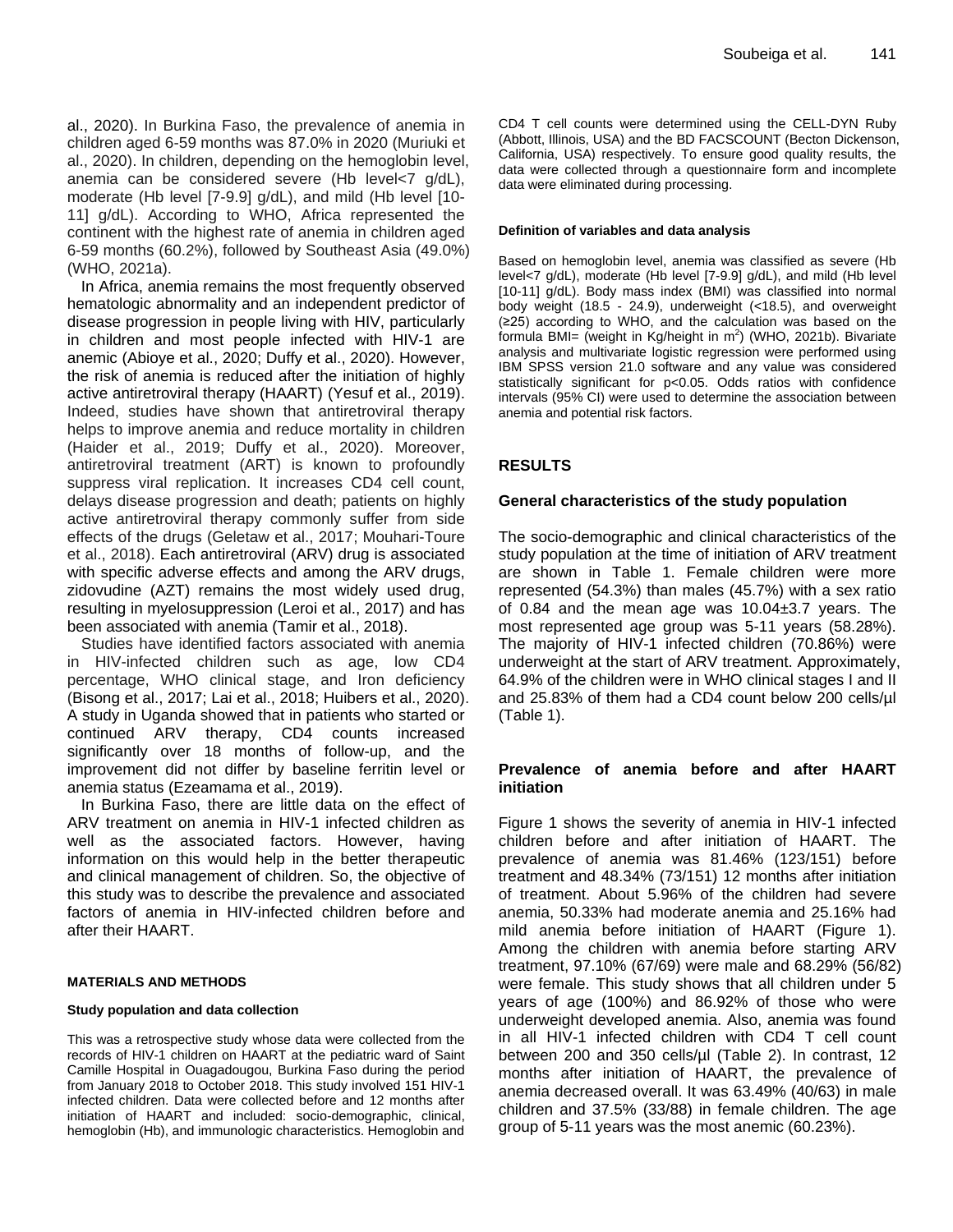al., 2020). In Burkina Faso, the prevalence of anemia in children aged 6-59 months was 87.0% in 2020 (Muriuki et al., 2020). In children, depending on the hemoglobin level, anemia can be considered severe (Hb level<7 g/dL), moderate (Hb level [7-9.9] g/dL), and mild (Hb level [10- 11] g/dL). According to WHO, Africa represented the continent with the highest rate of anemia in children aged 6-59 months (60.2%), followed by Southeast Asia (49.0%) (WHO, 2021a).

In Africa, anemia remains the most frequently observed hematologic abnormality and an independent predictor of disease progression in people living with HIV, particularly in children and most people infected with HIV-1 are anemic (Abioye et al., 2020; Duffy et al., 2020). However, the risk of anemia is reduced after the initiation of highly active antiretroviral therapy (HAART) (Yesuf et al., 2019). Indeed, studies have shown that antiretroviral therapy helps to improve anemia and reduce mortality in children (Haider et al., 2019; Duffy et al., 2020). Moreover, antiretroviral treatment (ART) is known to profoundly suppress viral replication. It increases CD4 cell count, delays disease progression and death; patients on highly active antiretroviral therapy commonly suffer from side effects of the drugs (Geletaw et al., 2017; Mouhari-Toure et al., 2018). Each antiretroviral (ARV) drug is associated with specific adverse effects and among the ARV drugs, zidovudine (AZT) remains the most widely used drug, resulting in myelosuppression (Leroi et al., 2017) and has been associated with anemia (Tamir et al., 2018).

Studies have identified factors associated with anemia in HIV-infected children such as age, low CD4 percentage, WHO clinical stage, and Iron deficiency (Bisong et al., 2017; Lai et al., 2018; Huibers et al., 2020). A study in Uganda showed that in patients who started or continued ARV therapy, CD4 counts increased significantly over 18 months of follow-up, and the improvement did not differ by baseline ferritin level or anemia status (Ezeamama et al., 2019).

In Burkina Faso, there are little data on the effect of ARV treatment on anemia in HIV-1 infected children as well as the associated factors. However, having information on this would help in the better therapeutic and clinical management of children. So, the objective of this study was to describe the prevalence and associated factors of anemia in HIV-infected children before and after their HAART.

#### **MATERIALS AND METHODS**

#### **Study population and data collection**

This was a retrospective study whose data were collected from the records of HIV-1 children on HAART at the pediatric ward of Saint Camille Hospital in Ouagadougou, Burkina Faso during the period from January 2018 to October 2018. This study involved 151 HIV-1 infected children. Data were collected before and 12 months after initiation of HAART and included: socio-demographic, clinical, hemoglobin (Hb), and immunologic characteristics. Hemoglobin and CD4 T cell counts were determined using the CELL-DYN Ruby (Abbott, Illinois, USA) and the BD FACSCOUNT (Becton Dickenson, California, USA) respectively. To ensure good quality results, the data were collected through a questionnaire form and incomplete data were eliminated during processing.

#### **Definition of variables and data analysis**

Based on hemoglobin level, anemia was classified as severe (Hb level<7 g/dL), moderate (Hb level [7-9.9] g/dL), and mild (Hb level [10-11] g/dL). Body mass index (BMI) was classified into normal body weight (18.5 - 24.9), underweight (<18.5), and overweight (≥25) according to WHO, and the calculation was based on the formula BMI= (weight in Kg/height in m<sup>2</sup>) (WHO, 2021b). Bivariate analysis and multivariate logistic regression were performed using IBM SPSS version 21.0 software and any value was considered statistically significant for p<0.05. Odds ratios with confidence intervals (95% CI) were used to determine the association between anemia and potential risk factors.

## **RESULTS**

#### **General characteristics of the study population**

The socio-demographic and clinical characteristics of the study population at the time of initiation of ARV treatment are shown in Table 1. Female children were more represented (54.3%) than males (45.7%) with a sex ratio of 0.84 and the mean age was 10.04±3.7 years. The most represented age group was 5-11 years (58.28%). The majority of HIV-1 infected children (70.86%) were underweight at the start of ARV treatment. Approximately, 64.9% of the children were in WHO clinical stages I and II and 25.83% of them had a CD4 count below 200 cells/µl (Table 1).

#### **Prevalence of anemia before and after HAART initiation**

Figure 1 shows the severity of anemia in HIV-1 infected children before and after initiation of HAART. The prevalence of anemia was 81.46% (123/151) before treatment and 48.34% (73/151) 12 months after initiation of treatment. About 5.96% of the children had severe anemia, 50.33% had moderate anemia and 25.16% had mild anemia before initiation of HAART (Figure 1). Among the children with anemia before starting ARV treatment, 97.10% (67/69) were male and 68.29% (56/82) were female. This study shows that all children under 5 years of age (100%) and 86.92% of those who were underweight developed anemia. Also, anemia was found in all HIV-1 infected children with CD4 T cell count between 200 and 350 cells/ul (Table 2). In contrast, 12 months after initiation of HAART, the prevalence of anemia decreased overall. It was 63.49% (40/63) in male children and 37.5% (33/88) in female children. The age group of 5-11 years was the most anemic (60.23%).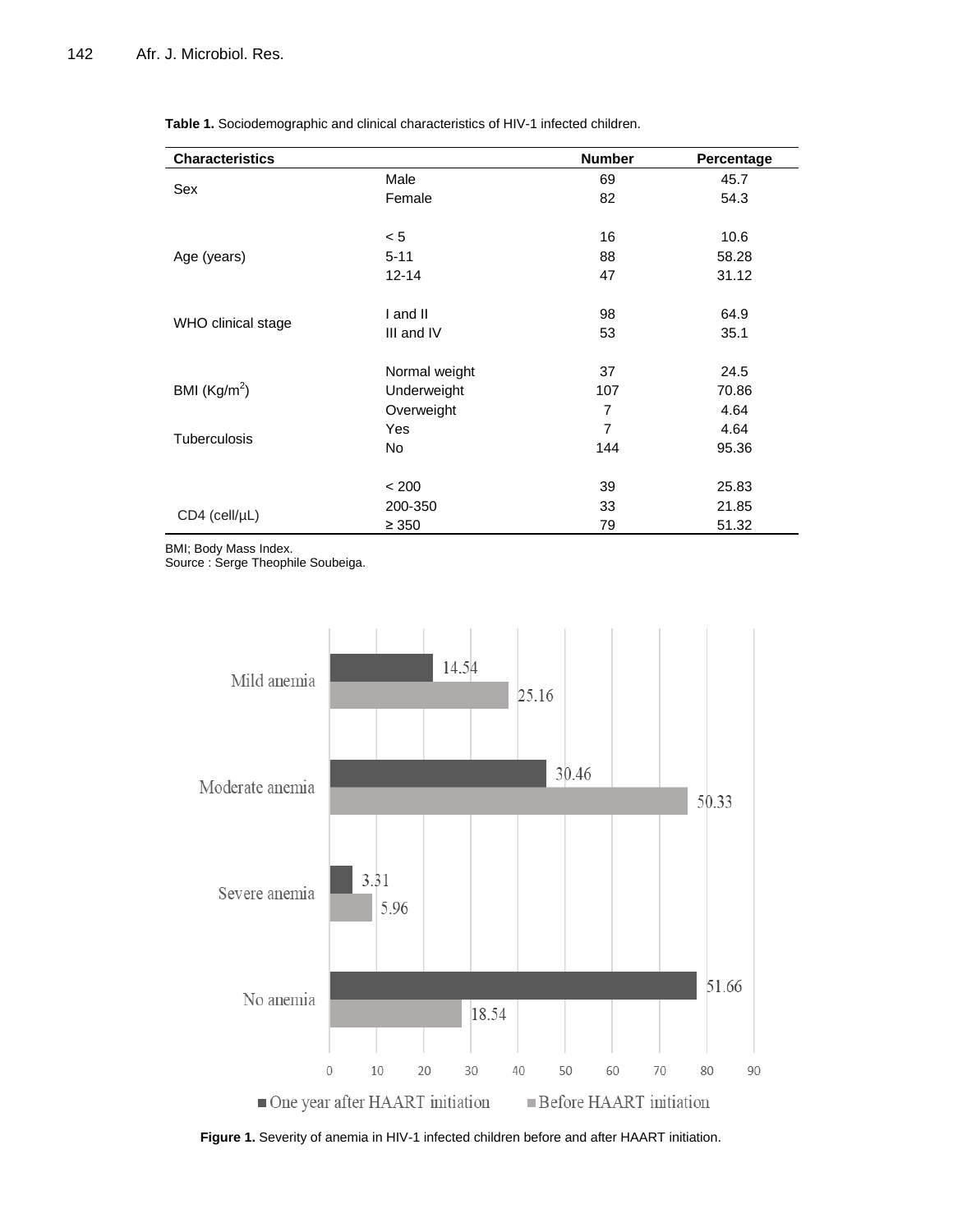| <b>Characteristics</b> |               | <b>Number</b>  | Percentage |
|------------------------|---------------|----------------|------------|
|                        | Male          | 69             | 45.7       |
| Sex                    | Female        | 82             | 54.3       |
|                        |               |                |            |
| Age (years)            | < 5           | 16             | 10.6       |
|                        | $5 - 11$      | 88             | 58.28      |
|                        | $12 - 14$     | 47             | 31.12      |
|                        | I and II      | 98             | 64.9       |
| WHO clinical stage     |               |                |            |
|                        | III and IV    | 53             | 35.1       |
|                        | Normal weight | 37             | 24.5       |
| BMI $(Kg/m2)$          | Underweight   | 107            | 70.86      |
|                        | Overweight    | 7              | 4.64       |
| <b>Tuberculosis</b>    | Yes           | $\overline{7}$ | 4.64       |
|                        | <b>No</b>     | 144            | 95.36      |
|                        |               |                |            |
| CD4 (cell/µL)          | < 200         | 39             | 25.83      |
|                        | 200-350       | 33             | 21.85      |
|                        | $\geq 350$    | 79             | 51.32      |

**Table 1.** Sociodemographic and clinical characteristics of HIV-1 infected children.

BMI; Body Mass Index.

Source : Serge Theophile Soubeiga.



**Figure 1.** Severity of anemia in HIV-1 infected children before and after HAART initiation.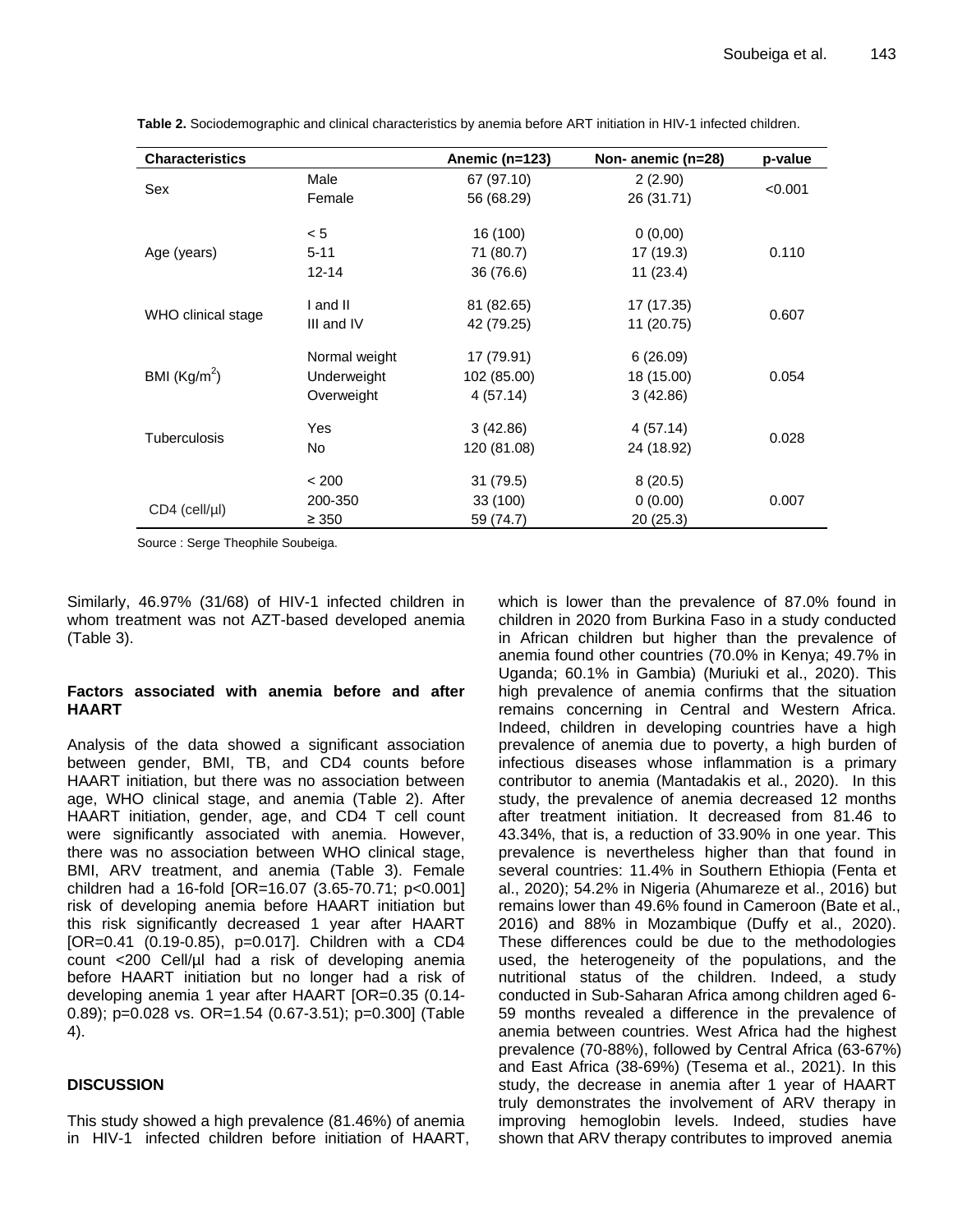| <b>Characteristics</b> |               | Anemic (n=123) | Non- anemic (n=28) | p-value |  |
|------------------------|---------------|----------------|--------------------|---------|--|
|                        | Male          | 67 (97.10)     | 2(2.90)            |         |  |
| Sex                    | Female        | 56 (68.29)     | 26 (31.71)         | < 0.001 |  |
|                        | < 5           | 16 (100)       | 0(0,00)            |         |  |
| Age (years)            | $5 - 11$      | 71 (80.7)      | 17 (19.3)          | 0.110   |  |
|                        | $12 - 14$     | 36 (76.6)      | 11(23.4)           |         |  |
|                        | I and II      | 81 (82.65)     | 17 (17.35)         |         |  |
| WHO clinical stage     | III and IV    | 42 (79.25)     | 11 (20.75)         | 0.607   |  |
|                        | Normal weight | 17 (79.91)     | 6(26.09)           |         |  |
| BMI $(Kg/m2)$          | Underweight   | 102 (85.00)    | 18 (15.00)         | 0.054   |  |
|                        | Overweight    | 4(57.14)       | 3(42.86)           |         |  |
|                        | Yes           | 3(42.86)       | 4(57.14)           |         |  |
| <b>Tuberculosis</b>    | No.           | 120 (81.08)    | 24 (18.92)         | 0.028   |  |
|                        | < 200         | 31 (79.5)      | 8(20.5)            |         |  |
|                        | 200-350       | 33 (100)       | 0(0.00)            | 0.007   |  |
| $CD4$ (cell/ $\mu$ l)  | $\geq 350$    | 59 (74.7)      | 20(25.3)           |         |  |

**Table 2.** Sociodemographic and clinical characteristics by anemia before ART initiation in HIV-1 infected children.

Source : Serge Theophile Soubeiga.

Similarly, 46.97% (31/68) of HIV-1 infected children in whom treatment was not AZT-based developed anemia (Table 3).

#### **Factors associated with anemia before and after HAART**

Analysis of the data showed a significant association between gender, BMI, TB, and CD4 counts before HAART initiation, but there was no association between age, WHO clinical stage, and anemia (Table 2). After HAART initiation, gender, age, and CD4 T cell count were significantly associated with anemia. However, there was no association between WHO clinical stage, BMI, ARV treatment, and anemia (Table 3). Female children had a 16-fold [OR=16.07 (3.65-70.71; p<0.001] risk of developing anemia before HAART initiation but this risk significantly decreased 1 year after HAART [OR=0.41 (0.19-0.85), p=0.017]. Children with a CD4 count <200 Cell/µl had a risk of developing anemia before HAART initiation but no longer had a risk of developing anemia 1 year after HAART [OR=0.35 (0.14- 0.89); p=0.028 vs. OR=1.54 (0.67-3.51); p=0.300] (Table 4).

# **DISCUSSION**

This study showed a high prevalence (81.46%) of anemia in HIV-1 infected children before initiation of HAART,

which is lower than the prevalence of 87.0% found in children in 2020 from Burkina Faso in a study conducted in African children but higher than the prevalence of anemia found other countries (70.0% in Kenya; 49.7% in Uganda; 60.1% in Gambia) (Muriuki et al., 2020). This high prevalence of anemia confirms that the situation remains concerning in Central and Western Africa. Indeed, children in developing countries have a high prevalence of anemia due to poverty, a high burden of infectious diseases whose inflammation is a primary contributor to anemia (Mantadakis et al., 2020). In this study, the prevalence of anemia decreased 12 months after treatment initiation. It decreased from 81.46 to 43.34%, that is, a reduction of 33.90% in one year. This prevalence is nevertheless higher than that found in several countries: 11.4% in Southern Ethiopia (Fenta et al., 2020); 54.2% in Nigeria (Ahumareze et al., 2016) but remains lower than 49.6% found in Cameroon (Bate et al., 2016) and 88% in Mozambique (Duffy et al., 2020). These differences could be due to the methodologies used, the heterogeneity of the populations, and the nutritional status of the children. Indeed, a study conducted in Sub-Saharan Africa among children aged 6- 59 months revealed a difference in the prevalence of anemia between countries. West Africa had the highest prevalence (70-88%), followed by Central Africa (63-67%) and East Africa (38-69%) (Tesema et al., 2021). In this study, the decrease in anemia after 1 year of HAART truly demonstrates the involvement of ARV therapy in improving hemoglobin levels. Indeed, studies have shown that ARV therapy contributes to improved anemia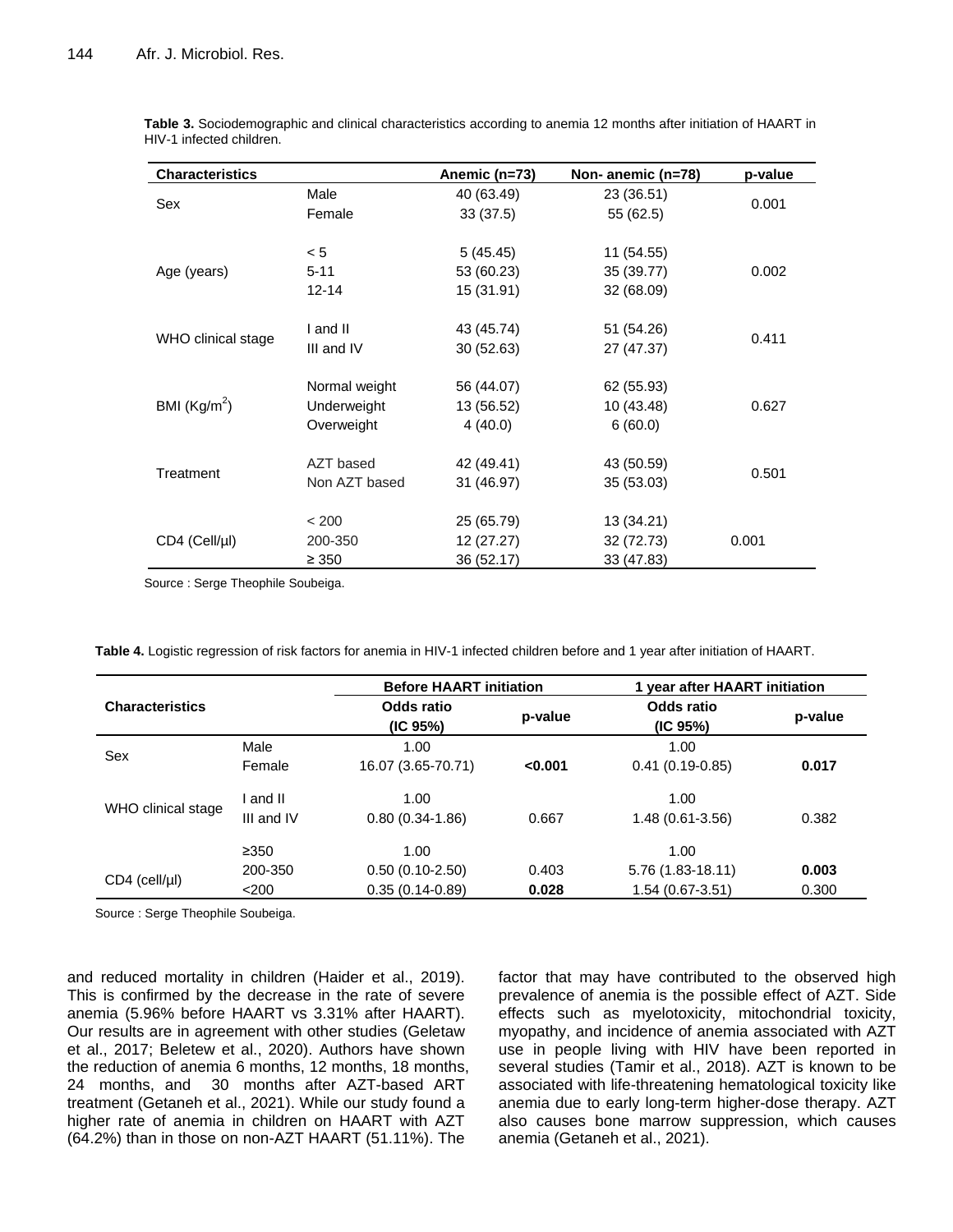| <b>Characteristics</b> |               | Anemic (n=73) | Non- anemic (n=78) | p-value |  |
|------------------------|---------------|---------------|--------------------|---------|--|
| Sex                    | Male          | 40 (63.49)    | 23 (36.51)         |         |  |
|                        | Female        | 33(37.5)      | 55 (62.5)          | 0.001   |  |
|                        |               |               |                    |         |  |
|                        | < 5           | 5(45.45)      | 11 (54.55)         |         |  |
| Age (years)            | $5 - 11$      | 53 (60.23)    | 35 (39.77)         | 0.002   |  |
|                        | $12 - 14$     | 15 (31.91)    | 32 (68.09)         |         |  |
|                        |               |               |                    |         |  |
| WHO clinical stage     | I and II      | 43 (45.74)    | 51 (54.26)         | 0.411   |  |
|                        | III and IV    | 30 (52.63)    | 27 (47.37)         |         |  |
|                        | Normal weight | 56 (44.07)    | 62 (55.93)         |         |  |
| BMI $(Kg/m^2)$         | Underweight   | 13 (56.52)    | 10 (43.48)         | 0.627   |  |
|                        | Overweight    | 4(40.0)       | 6(60.0)            |         |  |
|                        |               |               |                    |         |  |
|                        | AZT based     | 42 (49.41)    | 43 (50.59)         |         |  |
| Treatment              | Non AZT based | 31 (46.97)    | 35 (53.03)         | 0.501   |  |
|                        |               |               |                    |         |  |
|                        | < 200         | 25 (65.79)    | 13 (34.21)         |         |  |
| CD4 (Cell/µl)          | 200-350       | 12 (27.27)    | 32 (72.73)         | 0.001   |  |
|                        | $\geq 350$    | 36 (52.17)    | 33 (47.83)         |         |  |

**Table 3.** Sociodemographic and clinical characteristics according to anemia 12 months after initiation of HAART in HIV-1 infected children.

Source : Serge Theophile Soubeiga.

**Table 4.** Logistic regression of risk factors for anemia in HIV-1 infected children before and 1 year after initiation of HAART.

| <b>Characteristics</b> |            | <b>Before HAART initiation</b> |         | 1 year after HAART initiation |         |
|------------------------|------------|--------------------------------|---------|-------------------------------|---------|
|                        |            | Odds ratio<br>(IC 95%)         | p-value | Odds ratio<br>(IC 95%)        | p-value |
| Sex                    | Male       | 1.00                           |         | 1.00                          |         |
|                        | Female     | 16.07 (3.65-70.71)             | < 0.001 | $0.41(0.19-0.85)$             | 0.017   |
| WHO clinical stage     | and II     | 1.00                           |         | 1.00                          |         |
|                        | III and IV | $0.80(0.34-1.86)$              | 0.667   | 1.48 (0.61-3.56)              | 0.382   |
|                        | >350       | 1.00                           |         | 1.00                          |         |
| $CD4$ (cell/µl)        | 200-350    | $0.50(0.10-2.50)$              | 0.403   | 5.76 (1.83-18.11)             | 0.003   |
|                        | $<$ 200    | $0.35(0.14-0.89)$              | 0.028   | 1.54 (0.67-3.51)              | 0.300   |

Source : Serge Theophile Soubeiga.

and reduced mortality in children (Haider et al., 2019). This is confirmed by the decrease in the rate of severe anemia (5.96% before HAART vs 3.31% after HAART). Our results are in agreement with other studies (Geletaw et al., 2017; Beletew et al., 2020). Authors have shown the reduction of anemia 6 months, 12 months, 18 months, 24 months, and 30 months after AZT-based ART treatment (Getaneh et al., 2021). While our study found a higher rate of anemia in children on HAART with AZT (64.2%) than in those on non-AZT HAART (51.11%). The

factor that may have contributed to the observed high prevalence of anemia is the possible effect of AZT. Side effects such as myelotoxicity, mitochondrial toxicity, myopathy, and incidence of anemia associated with AZT use in people living with HIV have been reported in several studies (Tamir et al., 2018). AZT is known to be associated with life-threatening hematological toxicity like anemia due to early long-term higher-dose therapy. AZT also causes bone marrow suppression, which causes anemia (Getaneh et al., 2021).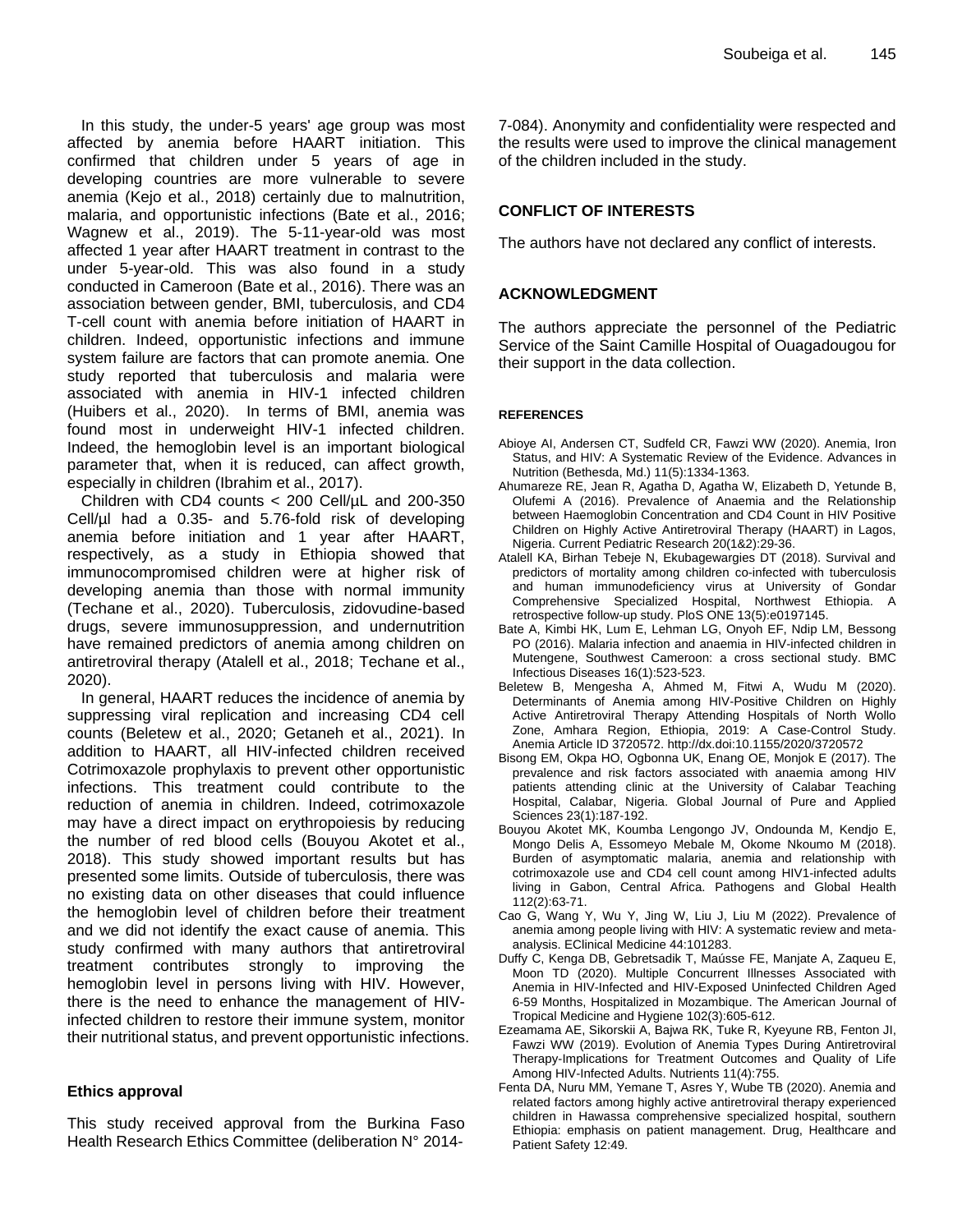In this study, the under-5 years' age group was most affected by anemia before HAART initiation. This confirmed that children under 5 years of age in developing countries are more vulnerable to severe anemia (Kejo et al., 2018) certainly due to malnutrition, malaria, and opportunistic infections (Bate et al., 2016; Wagnew et al., 2019). The 5-11-year-old was most affected 1 year after HAART treatment in contrast to the under 5-year-old. This was also found in a study conducted in Cameroon (Bate et al., 2016). There was an association between gender, BMI, tuberculosis, and CD4 T-cell count with anemia before initiation of HAART in children. Indeed, opportunistic infections and immune system failure are factors that can promote anemia. One study reported that tuberculosis and malaria were associated with anemia in HIV-1 infected children (Huibers et al., 2020). In terms of BMI, anemia was found most in underweight HIV-1 infected children. Indeed, the hemoglobin level is an important biological parameter that, when it is reduced, can affect growth, especially in children (Ibrahim et al., 2017).

Children with CD4 counts  $<$  200 Cell/ $\mu$ L and 200-350 Cell/µl had a 0.35- and 5.76-fold risk of developing anemia before initiation and 1 year after HAART, respectively, as a study in Ethiopia showed that immunocompromised children were at higher risk of developing anemia than those with normal immunity (Techane et al., 2020). Tuberculosis, zidovudine-based drugs, severe immunosuppression, and undernutrition have remained predictors of anemia among children on antiretroviral therapy (Atalell et al., 2018; Techane et al., 2020).

In general, HAART reduces the incidence of anemia by suppressing viral replication and increasing CD4 cell counts (Beletew et al., 2020; Getaneh et al., 2021). In addition to HAART, all HIV-infected children received Cotrimoxazole prophylaxis to prevent other opportunistic infections. This treatment could contribute to the reduction of anemia in children. Indeed, cotrimoxazole may have a direct impact on erythropoiesis by reducing the number of red blood cells (Bouyou Akotet et al., 2018). This study showed important results but has presented some limits. Outside of tuberculosis, there was no existing data on other diseases that could influence the hemoglobin level of children before their treatment and we did not identify the exact cause of anemia. This study confirmed with many authors that antiretroviral treatment contributes strongly to improving the hemoglobin level in persons living with HIV. However, there is the need to enhance the management of HIVinfected children to restore their immune system, monitor their nutritional status, and prevent opportunistic infections.

# **Ethics approval**

This study received approval from the Burkina Faso Health Research Ethics Committee (deliberation N° 2014-

7-084). Anonymity and confidentiality were respected and the results were used to improve the clinical management of the children included in the study.

## **CONFLICT OF INTERESTS**

The authors have not declared any conflict of interests.

## **ACKNOWLEDGMENT**

The authors appreciate the personnel of the Pediatric Service of the Saint Camille Hospital of Ouagadougou for their support in the data collection.

## **REFERENCES**

- Abioye AI, Andersen CT, Sudfeld CR, Fawzi WW (2020). Anemia, Iron Status, and HIV: A Systematic Review of the Evidence. Advances in Nutrition (Bethesda, Md.) 11(5):1334-1363.
- Ahumareze RE, Jean R, Agatha D, Agatha W, Elizabeth D, Yetunde B, Olufemi A (2016). Prevalence of Anaemia and the Relationship between Haemoglobin Concentration and CD4 Count in HIV Positive Children on Highly Active Antiretroviral Therapy (HAART) in Lagos, Nigeria. Current Pediatric Research 20(1&2):29-36.
- Atalell KA, Birhan Tebeje N, Ekubagewargies DT (2018). Survival and predictors of mortality among children co-infected with tuberculosis and human immunodeficiency virus at University of Gondar Comprehensive Specialized Hospital, Northwest Ethiopia. A retrospective follow-up study. PloS ONE 13(5):e0197145.
- Bate A, Kimbi HK, Lum E, Lehman LG, Onyoh EF, Ndip LM, Bessong PO (2016). Malaria infection and anaemia in HIV-infected children in Mutengene, Southwest Cameroon: a cross sectional study. BMC Infectious Diseases 16(1):523-523.
- Beletew B, Mengesha A, Ahmed M, Fitwi A, Wudu M (2020). Determinants of Anemia among HIV-Positive Children on Highly Active Antiretroviral Therapy Attending Hospitals of North Wollo Zone, Amhara Region, Ethiopia, 2019: A Case-Control Study. Anemia Article ID 3720572. http://dx.doi:10.1155/2020/3720572
- Bisong EM, Okpa HO, Ogbonna UK, Enang OE, Monjok E (2017). The prevalence and risk factors associated with anaemia among HIV patients attending clinic at the University of Calabar Teaching Hospital, Calabar, Nigeria. Global Journal of Pure and Applied Sciences 23(1):187-192.
- Bouyou Akotet MK, Koumba Lengongo JV, Ondounda M, Kendjo E, Mongo Delis A, Essomeyo Mebale M, Okome Nkoumo M (2018). Burden of asymptomatic malaria, anemia and relationship with cotrimoxazole use and CD4 cell count among HIV1-infected adults living in Gabon, Central Africa. Pathogens and Global Health 112(2):63-71.
- Cao G, Wang Y, Wu Y, Jing W, Liu J, Liu M (2022). Prevalence of anemia among people living with HIV: A systematic review and metaanalysis. EClinical Medicine 44:101283.
- Duffy C, Kenga DB, Gebretsadik T, Maússe FE, Manjate A, Zaqueu E, Moon TD (2020). Multiple Concurrent Illnesses Associated with Anemia in HIV-Infected and HIV-Exposed Uninfected Children Aged 6-59 Months, Hospitalized in Mozambique. The American Journal of Tropical Medicine and Hygiene 102(3):605-612.
- Ezeamama AE, Sikorskii A, Bajwa RK, Tuke R, Kyeyune RB, Fenton JI, Fawzi WW (2019). Evolution of Anemia Types During Antiretroviral Therapy-Implications for Treatment Outcomes and Quality of Life Among HIV-Infected Adults. Nutrients 11(4):755.
- Fenta DA, Nuru MM, Yemane T, Asres Y, Wube TB (2020). Anemia and related factors among highly active antiretroviral therapy experienced children in Hawassa comprehensive specialized hospital, southern Ethiopia: emphasis on patient management. Drug, Healthcare and Patient Safety 12:49.